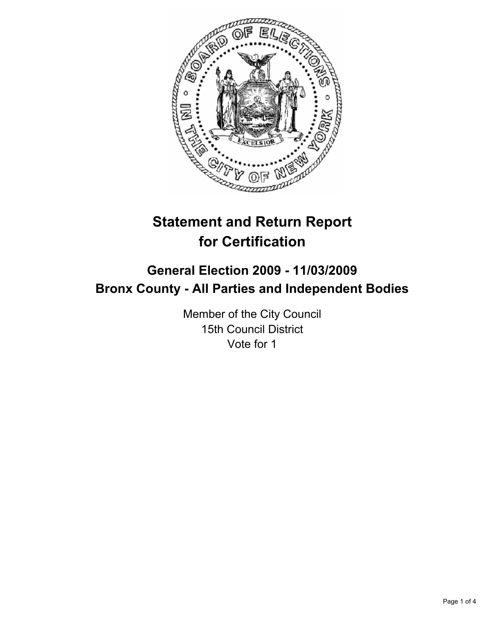

# **Statement and Return Report for Certification**

# **General Election 2009 - 11/03/2009 Bronx County - All Parties and Independent Bodies**

Member of the City Council 15th Council District Vote for 1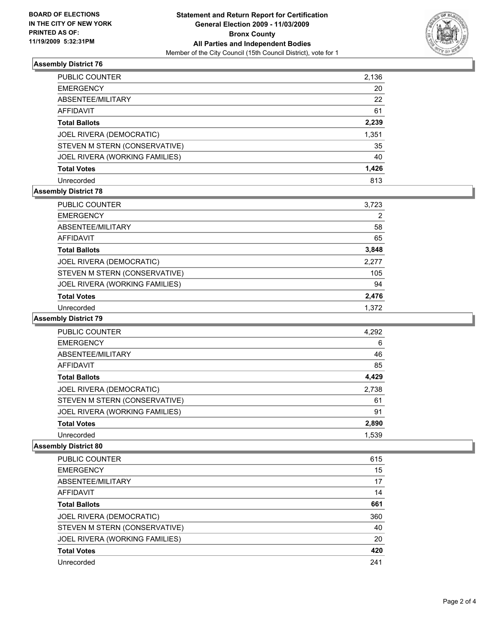

## **Assembly District 76**

| PUBLIC COUNTER                 | 2,136 |
|--------------------------------|-------|
| EMERGENCY                      | 20    |
| ABSENTEE/MILITARY              | 22    |
| AFFIDAVIT                      | 61    |
| Total Ballots                  | 2,239 |
| JOEL RIVERA (DEMOCRATIC)       | 1,351 |
| STEVEN M STERN (CONSERVATIVE)  | 35    |
| JOEL RIVERA (WORKING FAMILIES) | 40    |
| Total Votes                    | 1,426 |
| Unrecorded                     | 813   |

## **Assembly District 78**

| PUBLIC COUNTER                 | 3,723 |
|--------------------------------|-------|
| <b>EMERGENCY</b>               | 2     |
| ABSENTEE/MILITARY              | 58    |
| AFFIDAVIT                      | 65    |
| <b>Total Ballots</b>           | 3,848 |
| JOEL RIVERA (DEMOCRATIC)       | 2,277 |
| STEVEN M STERN (CONSERVATIVE)  | 105   |
| JOEL RIVERA (WORKING FAMILIES) | 94    |
| <b>Total Votes</b>             | 2,476 |
| Unrecorded                     | 1.372 |

#### **Assembly District 79**

| <b>PUBLIC COUNTER</b>          | 4,292 |
|--------------------------------|-------|
| <b>EMERGENCY</b>               | 6     |
| ABSENTEE/MILITARY              | 46    |
| <b>AFFIDAVIT</b>               | 85    |
| <b>Total Ballots</b>           | 4,429 |
| JOEL RIVERA (DEMOCRATIC)       | 2,738 |
| STEVEN M STERN (CONSERVATIVE)  | 61    |
| JOEL RIVERA (WORKING FAMILIES) | 91    |
| <b>Total Votes</b>             | 2,890 |
| Unrecorded                     | 1,539 |

#### **Assembly District 80**

| PUBLIC COUNTER                 | 615 |
|--------------------------------|-----|
| <b>EMERGENCY</b>               | 15  |
| ABSENTEE/MILITARY              | 17  |
| AFFIDAVIT                      | 14  |
| <b>Total Ballots</b>           | 661 |
| JOEL RIVERA (DEMOCRATIC)       | 360 |
| STEVEN M STERN (CONSERVATIVE)  | 40  |
| JOEL RIVERA (WORKING FAMILIES) | 20  |
| <b>Total Votes</b>             | 420 |
| Unrecorded                     | 241 |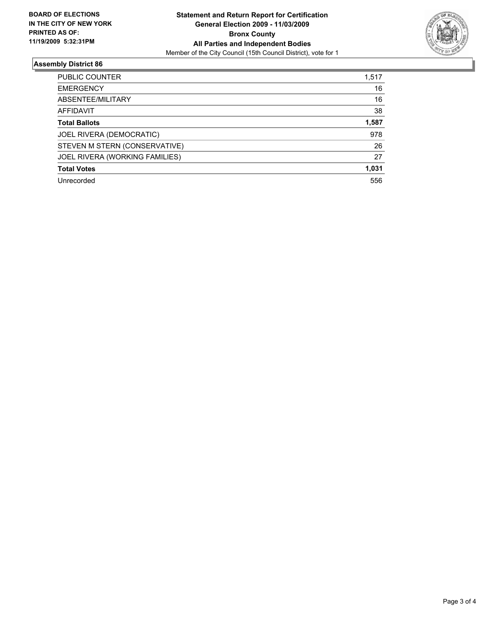

## **Assembly District 86**

| <b>PUBLIC COUNTER</b>          | 1,517 |
|--------------------------------|-------|
| <b>EMERGENCY</b>               | 16    |
| ABSENTEE/MILITARY              | 16    |
| AFFIDAVIT                      | 38    |
| <b>Total Ballots</b>           | 1,587 |
| JOEL RIVERA (DEMOCRATIC)       | 978   |
| STEVEN M STERN (CONSERVATIVE)  | 26    |
| JOEL RIVERA (WORKING FAMILIES) | 27    |
| <b>Total Votes</b>             | 1,031 |
| Unrecorded                     | 556   |